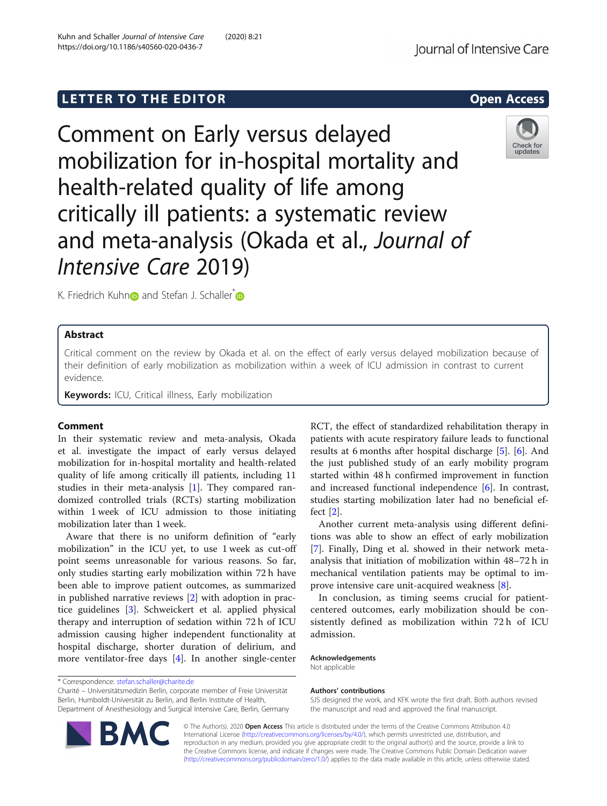# LETTER TO THE EDITOR **CONSIDERING THE EDITOR** CONSIDERING THE STATE AND THE STATE ASSAULT THE STATE AND THE STATE ASSAULT THE STATE AND THE STATE AND THE STATE AND THE STATE AND THE STATE AND THE STATE AND THE STATE AND TH

Comment on Early versus delayed mobilization for in-hospital mortality and health-related quality of life among critically ill patients: a systematic review and meta-analysis (Okada et al., Journal of Intensive Care 2019)

K. Friedrich Kuhn**n** and Stefan J. Schaller<sup>[\\*](https://orcid.org/0000-0002-6683-9584)</sup>

# Abstract

Critical comment on the review by Okada et al. on the effect of early versus delayed mobilization because of their definition of early mobilization as mobilization within a week of ICU admission in contrast to current evidence.

Keywords: ICU, Critical illness, Early mobilization

## Comment

In their systematic review and meta-analysis, Okada et al. investigate the impact of early versus delayed mobilization for in-hospital mortality and health-related quality of life among critically ill patients, including 11 studies in their meta-analysis [\[1](#page-1-0)]. They compared randomized controlled trials (RCTs) starting mobilization within 1 week of ICU admission to those initiating mobilization later than 1 week.

Aware that there is no uniform definition of "early mobilization" in the ICU yet, to use 1 week as cut-off point seems unreasonable for various reasons. So far, only studies starting early mobilization within 72 h have been able to improve patient outcomes, as summarized in published narrative reviews [\[2](#page-1-0)] with adoption in practice guidelines [[3\]](#page-1-0). Schweickert et al. applied physical therapy and interruption of sedation within 72 h of ICU admission causing higher independent functionality at hospital discharge, shorter duration of delirium, and more ventilator-free days [\[4](#page-1-0)]. In another single-center

\* Correspondence: [stefan.schaller@charite.de](mailto:stefan.schaller@charite.de)

Charité – Universitätsmedizin Berlin, corporate member of Freie Universität Department of Anesthesiology and Surgical Intensive Care, Berlin, Germany RCT, the effect of standardized rehabilitation therapy in patients with acute respiratory failure leads to functional results at 6 months after hospital discharge [\[5](#page-1-0)]. [\[6](#page-1-0)]. And the just published study of an early mobility program started within 48 h confirmed improvement in function and increased functional independence [[6\]](#page-1-0). In contrast, studies starting mobilization later had no beneficial effect [[2\]](#page-1-0).

Another current meta-analysis using different definitions was able to show an effect of early mobilization [[7\]](#page-1-0). Finally, Ding et al. showed in their network metaanalysis that initiation of mobilization within 48–72 h in mechanical ventilation patients may be optimal to improve intensive care unit-acquired weakness [[8\]](#page-1-0).

In conclusion, as timing seems crucial for patientcentered outcomes, early mobilization should be consistently defined as mobilization within 72 h of ICU admission.

Acknowledgements Not applicable

# Authors' contributions

SJS designed the work, and KFK wrote the first draft. Both authors revised the manuscript and read and approved the final manuscript.

© The Author(s). 2020 Open Access This article is distributed under the terms of the Creative Commons Attribution 4.0 International License [\(http://creativecommons.org/licenses/by/4.0/](http://creativecommons.org/licenses/by/4.0/)), which permits unrestricted use, distribution, and reproduction in any medium, provided you give appropriate credit to the original author(s) and the source, provide a link to the Creative Commons license, and indicate if changes were made. The Creative Commons Public Domain Dedication waiver [\(http://creativecommons.org/publicdomain/zero/1.0/](http://creativecommons.org/publicdomain/zero/1.0/)) applies to the data made available in this article, unless otherwise stated.

Berlin, Humboldt-Universität zu Berlin, and Berlin Institute of Health,